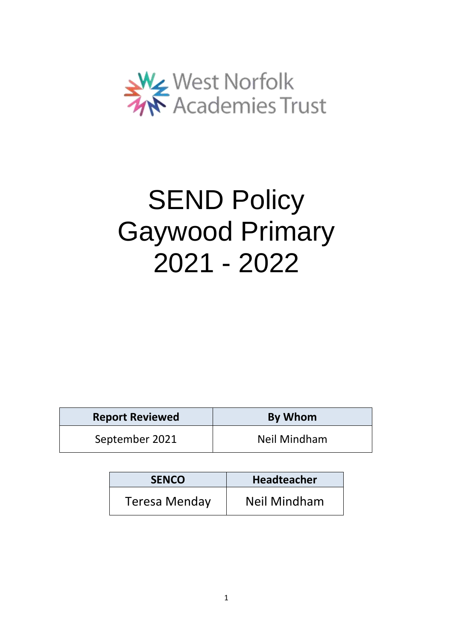

# **SEND Policy** Gaywood Primary 2021 - 2022

| <b>Report Reviewed</b> | By Whom      |
|------------------------|--------------|
| September 2021         | Neil Mindham |

| <b>SENCO</b>         | <b>Headteacher</b>  |
|----------------------|---------------------|
| <b>Teresa Menday</b> | <b>Neil Mindham</b> |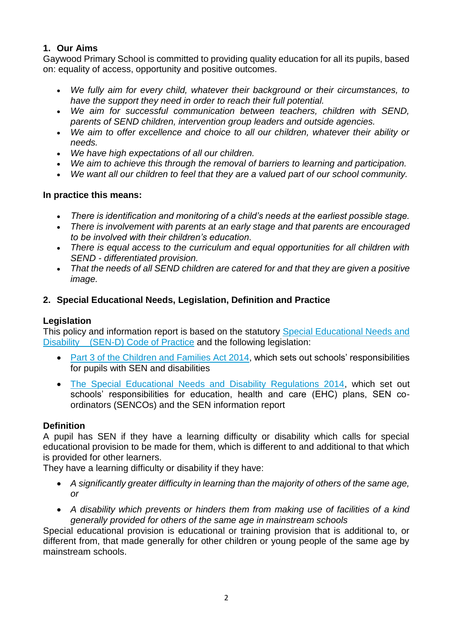## **1. Our Aims**

Gaywood Primary School is committed to providing quality education for all its pupils, based on: equality of access, opportunity and positive outcomes.

- *We fully aim for every child, whatever their background or their circumstances, to have the support they need in order to reach their full potential.*
- *We aim for successful communication between teachers, children with SEND, parents of SEND children, intervention group leaders and outside agencies.*
- *We aim to offer excellence and choice to all our children, whatever their ability or needs.*
- *We have high expectations of all our children.*
- *We aim to achieve this through the removal of barriers to learning and participation.*
- *We want all our children to feel that they are a valued part of our school community.*

## **In practice this means:**

- *There is identification and monitoring of a child's needs at the earliest possible stage.*
- *There is involvement with parents at an early stage and that parents are encouraged to be involved with their children's education.*
- *There is equal access to the curriculum and equal opportunities for all children with SEND - differentiated provision.*
- *That the needs of all SEND children are catered for and that they are given a positive image.*

# **2. Special Educational Needs, Legislation, Definition and Practice**

## **Legislation**

This policy and information report is based on the statutory [Special Educational Needs and](https://www.gov.uk/government/uploads/system/uploads/attachment_data/file/398815/SEND_Code_of_Practice_January_2015.pdf)  [Disability \(SEN-D\) Code of Practice](https://www.gov.uk/government/uploads/system/uploads/attachment_data/file/398815/SEND_Code_of_Practice_January_2015.pdf) and the following legislation:

- [Part 3 of the Children and Families Act 2014,](http://www.legislation.gov.uk/ukpga/2014/6/part/3) which sets out schools' responsibilities for pupils with SEN and disabilities
- [The Special Educational Needs and Disability Regulations 2014,](http://www.legislation.gov.uk/uksi/2014/1530/contents/made) which set out schools' responsibilities for education, health and care (EHC) plans, SEN coordinators (SENCOs) and the SEN information report

## **Definition**

A pupil has SEN if they have a learning difficulty or disability which calls for special educational provision to be made for them, which is different to and additional to that which is provided for other learners.

They have a learning difficulty or disability if they have:

- *A significantly greater difficulty in learning than the majority of others of the same age, or*
- *A disability which prevents or hinders them from making use of facilities of a kind generally provided for others of the same age in mainstream schools*

Special educational provision is educational or training provision that is additional to, or different from, that made generally for other children or young people of the same age by mainstream schools.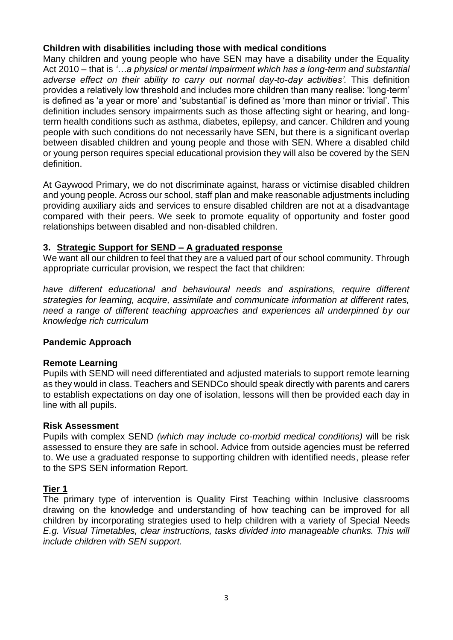## **Children with disabilities including those with medical conditions**

Many children and young people who have SEN may have a disability under the Equality Act 2010 – that is *'…a physical or mental impairment which has a long-term and substantial adverse effect on their ability to carry out normal day-to-day activities'.* This definition provides a relatively low threshold and includes more children than many realise: 'long-term' is defined as 'a year or more' and 'substantial' is defined as 'more than minor or trivial'. This definition includes sensory impairments such as those affecting sight or hearing, and longterm health conditions such as asthma, diabetes, epilepsy, and cancer. Children and young people with such conditions do not necessarily have SEN, but there is a significant overlap between disabled children and young people and those with SEN. Where a disabled child or young person requires special educational provision they will also be covered by the SEN definition.

At Gaywood Primary, we do not discriminate against, harass or victimise disabled children and young people. Across our school, staff plan and make reasonable adjustments including providing auxiliary aids and services to ensure disabled children are not at a disadvantage compared with their peers. We seek to promote equality of opportunity and foster good relationships between disabled and non-disabled children.

### **3. Strategic Support for SEND – A graduated response**

We want all our children to feel that they are a valued part of our school community. Through appropriate curricular provision, we respect the fact that children:

*have different educational and behavioural needs and aspirations, require different strategies for learning, acquire, assimilate and communicate information at different rates, need a range of different teaching approaches and experiences all underpinned by our knowledge rich curriculum* 

#### **Pandemic Approach**

#### **Remote Learning**

Pupils with SEND will need differentiated and adjusted materials to support remote learning as they would in class. Teachers and SENDCo should speak directly with parents and carers to establish expectations on day one of isolation, lessons will then be provided each day in line with all pupils.

#### **Risk Assessment**

Pupils with complex SEND *(which may include co-morbid medical conditions)* will be risk assessed to ensure they are safe in school. Advice from outside agencies must be referred to. We use a graduated response to supporting children with identified needs, please refer to the SPS SEN information Report.

## **Tier 1**

The primary type of intervention is Quality First Teaching within Inclusive classrooms drawing on the knowledge and understanding of how teaching can be improved for all children by incorporating strategies used to help children with a variety of Special Needs *E.g. Visual Timetables, clear instructions, tasks divided into manageable chunks. This will include children with SEN support.*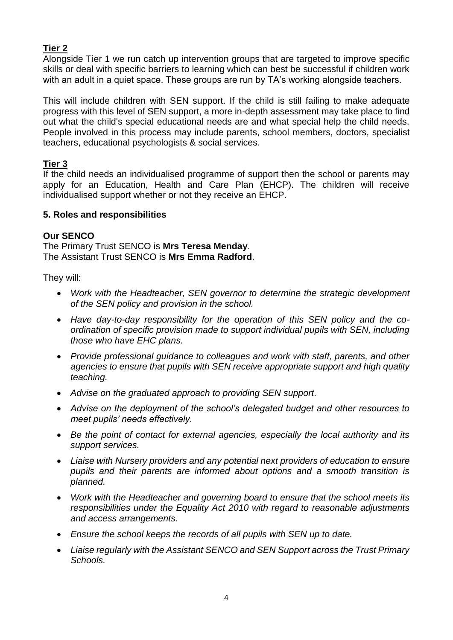# **Tier 2**

Alongside Tier 1 we run catch up intervention groups that are targeted to improve specific skills or deal with specific barriers to learning which can best be successful if children work with an adult in a quiet space. These groups are run by TA's working alongside teachers.

This will include children with SEN support. If the child is still failing to make adequate progress with this level of SEN support, a more in-depth assessment may take place to find out what the child's special educational needs are and what special help the child needs. People involved in this process may include parents, school members, doctors, specialist teachers, educational psychologists & social services.

# **Tier 3**

If the child needs an individualised programme of support then the school or parents may apply for an Education, Health and Care Plan (EHCP). The children will receive individualised support whether or not they receive an EHCP.

## **5. Roles and responsibilities**

# **Our SENCO**

The Primary Trust SENCO is **Mrs Teresa Menday**. The Assistant Trust SENCO is **Mrs Emma Radford**.

They will:

- *Work with the Headteacher, SEN governor to determine the strategic development of the SEN policy and provision in the school.*
- *Have day-to-day responsibility for the operation of this SEN policy and the coordination of specific provision made to support individual pupils with SEN, including those who have EHC plans.*
- *Provide professional guidance to colleagues and work with staff, parents, and other agencies to ensure that pupils with SEN receive appropriate support and high quality teaching.*
- *Advise on the graduated approach to providing SEN support.*
- *Advise on the deployment of the school's delegated budget and other resources to meet pupils' needs effectively.*
- *Be the point of contact for external agencies, especially the local authority and its support services.*
- *Liaise with Nursery providers and any potential next providers of education to ensure pupils and their parents are informed about options and a smooth transition is planned.*
- *Work with the Headteacher and governing board to ensure that the school meets its responsibilities under the Equality Act 2010 with regard to reasonable adjustments and access arrangements.*
- *Ensure the school keeps the records of all pupils with SEN up to date.*
- *Liaise regularly with the Assistant SENCO and SEN Support across the Trust Primary Schools.*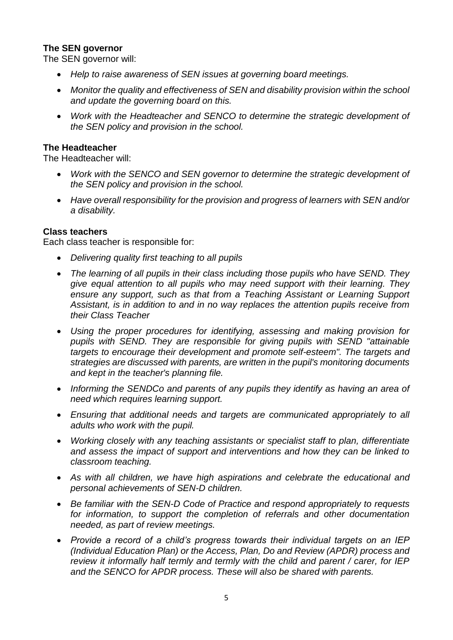### **The SEN governor**

The SEN governor will:

- *Help to raise awareness of SEN issues at governing board meetings.*
- *Monitor the quality and effectiveness of SEN and disability provision within the school and update the governing board on this.*
- *Work with the Headteacher and SENCO to determine the strategic development of the SEN policy and provision in the school.*

### **The Headteacher**

The Headteacher will:

- *Work with the SENCO and SEN governor to determine the strategic development of the SEN policy and provision in the school.*
- *Have overall responsibility for the provision and progress of learners with SEN and/or a disability.*

#### **Class teachers**

Each class teacher is responsible for:

- *Delivering quality first teaching to all pupils*
- *The learning of all pupils in their class including those pupils who have SEND. They give equal attention to all pupils who may need support with their learning. They ensure any support, such as that from a Teaching Assistant or Learning Support Assistant, is in addition to and in no way replaces the attention pupils receive from their Class Teacher*
- *Using the proper procedures for identifying, assessing and making provision for pupils with SEND. They are responsible for giving pupils with SEND "attainable targets to encourage their development and promote self-esteem". The targets and strategies are discussed with parents, are written in the pupil's monitoring documents and kept in the teacher's planning file.*
- *Informing the SENDCo and parents of any pupils they identify as having an area of need which requires learning support.*
- *Ensuring that additional needs and targets are communicated appropriately to all adults who work with the pupil.*
- *Working closely with any teaching assistants or specialist staff to plan, differentiate and assess the impact of support and interventions and how they can be linked to classroom teaching.*
- *As with all children, we have high aspirations and celebrate the educational and personal achievements of SEN-D children.*
- *Be familiar with the SEN-D Code of Practice and respond appropriately to requests for information, to support the completion of referrals and other documentation needed, as part of review meetings.*
- *Provide a record of a child's progress towards their individual targets on an IEP (Individual Education Plan) or the Access, Plan, Do and Review (APDR) process and review it informally half termly and termly with the child and parent / carer, for IEP and the SENCO for APDR process. These will also be shared with parents.*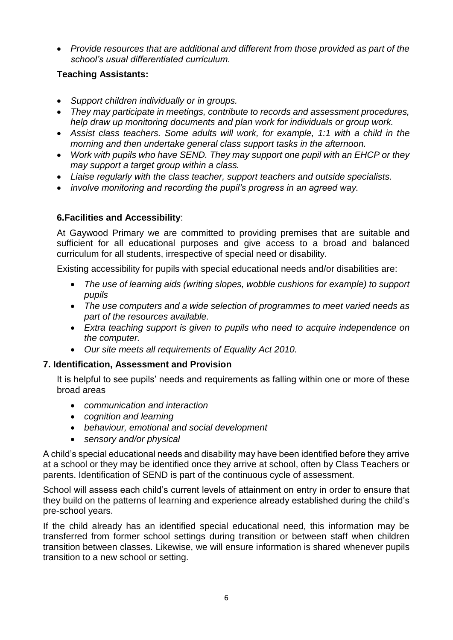*Provide resources that are additional and different from those provided as part of the school's usual differentiated curriculum.* 

## **Teaching Assistants:**

- *Support children individually or in groups.*
- *They may participate in meetings, contribute to records and assessment procedures, help draw up monitoring documents and plan work for individuals or group work.*
- *Assist class teachers. Some adults will work, for example, 1:1 with a child in the morning and then undertake general class support tasks in the afternoon.*
- *Work with pupils who have SEND. They may support one pupil with an EHCP or they may support a target group within a class.*
- *Liaise regularly with the class teacher, support teachers and outside specialists.*
- *involve monitoring and recording the pupil's progress in an agreed way.*

# **6.Facilities and Accessibility**:

At Gaywood Primary we are committed to providing premises that are suitable and sufficient for all educational purposes and give access to a broad and balanced curriculum for all students, irrespective of special need or disability.

Existing accessibility for pupils with special educational needs and/or disabilities are:

- *The use of learning aids (writing slopes, wobble cushions for example) to support pupils*
- *The use computers and a wide selection of programmes to meet varied needs as part of the resources available.*
- *Extra teaching support is given to pupils who need to acquire independence on the computer.*
- *Our site meets all requirements of Equality Act 2010.*

# **7. Identification, Assessment and Provision**

It is helpful to see pupils' needs and requirements as falling within one or more of these broad areas

- *communication and interaction*
- *cognition and learning*
- *behaviour, emotional and social development*
- *sensory and/or physical*

A child's special educational needs and disability may have been identified before they arrive at a school or they may be identified once they arrive at school, often by Class Teachers or parents. Identification of SEND is part of the continuous cycle of assessment.

School will assess each child's current levels of attainment on entry in order to ensure that they build on the patterns of learning and experience already established during the child's pre-school years.

If the child already has an identified special educational need, this information may be transferred from former school settings during transition or between staff when children transition between classes. Likewise, we will ensure information is shared whenever pupils transition to a new school or setting.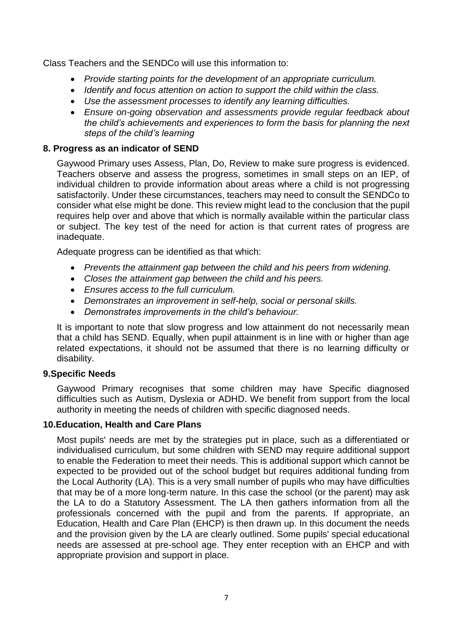Class Teachers and the SENDCo will use this information to:

- *Provide starting points for the development of an appropriate curriculum.*
- *Identify and focus attention on action to support the child within the class.*
- *Use the assessment processes to identify any learning difficulties.*
- *Ensure on-going observation and assessments provide regular feedback about the child's achievements and experiences to form the basis for planning the next steps of the child's learning*

#### **8. Progress as an indicator of SEND**

Gaywood Primary uses Assess, Plan, Do, Review to make sure progress is evidenced. Teachers observe and assess the progress, sometimes in small steps on an IEP, of individual children to provide information about areas where a child is not progressing satisfactorily. Under these circumstances, teachers may need to consult the SENDCo to consider what else might be done. This review might lead to the conclusion that the pupil requires help over and above that which is normally available within the particular class or subject. The key test of the need for action is that current rates of progress are inadequate.

Adequate progress can be identified as that which:

- *Prevents the attainment gap between the child and his peers from widening.*
- *Closes the attainment gap between the child and his peers.*
- *Ensures access to the full curriculum.*
- *Demonstrates an improvement in self-help, social or personal skills.*
- *Demonstrates improvements in the child's behaviour.*

It is important to note that slow progress and low attainment do not necessarily mean that a child has SEND. Equally, when pupil attainment is in line with or higher than age related expectations, it should not be assumed that there is no learning difficulty or disability.

#### **9.Specific Needs**

Gaywood Primary recognises that some children may have Specific diagnosed difficulties such as Autism, Dyslexia or ADHD. We benefit from support from the local authority in meeting the needs of children with specific diagnosed needs.

#### **10.Education, Health and Care Plans**

Most pupils' needs are met by the strategies put in place, such as a differentiated or individualised curriculum, but some children with SEND may require additional support to enable the Federation to meet their needs. This is additional support which cannot be expected to be provided out of the school budget but requires additional funding from the Local Authority (LA). This is a very small number of pupils who may have difficulties that may be of a more long-term nature. In this case the school (or the parent) may ask the LA to do a Statutory Assessment. The LA then gathers information from all the professionals concerned with the pupil and from the parents. If appropriate, an Education, Health and Care Plan (EHCP) is then drawn up. In this document the needs and the provision given by the LA are clearly outlined. Some pupils' special educational needs are assessed at pre-school age. They enter reception with an EHCP and with appropriate provision and support in place.